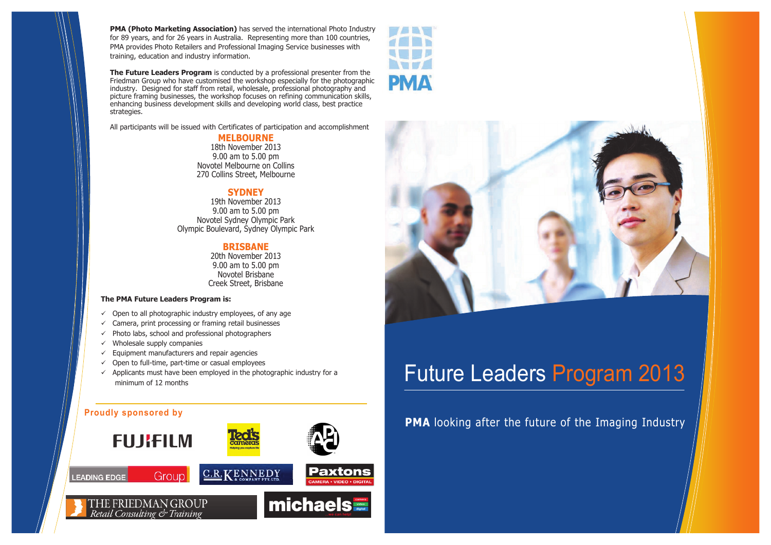# Future Leaders Program 2013

## **PMA** looking after the future of the Imaging Industry

### **The PMA Future Leaders Program is:**

- $\checkmark$  Open to all photographic industry employees, of any age
- $\checkmark$  Camera, print processing or framing retail businesses
- $\checkmark$  Photo labs, school and professional photographers
- $\checkmark$  Wholesale supply companies
- $\checkmark$  Equipment manufacturers and repair agencies
- $\checkmark$  Open to full-time, part-time or casual employees
- $\checkmark$  Applicants must have been employed in the photographic industry for a minimum of 12 months

## **Proudly sponsored by**







## **MELBOURNE**

18th November 2013 9.00 am to 5.00 pm Novotel Melbourne on Collins 270 Collins Street, Melbourne

## **SYDNEY**

19th November 2013 9.00 am to 5.00 pm Novotel Sydney Olympic Park Olympic Boulevard, Sydney Olympic Park

## **BRISBANE**

20th November 2013 9.00 am to 5.00 pm Novotel Brisbane Creek Street, Brisbane

**PMA (Photo Marketing Association)** has served the international Photo Industry for 89 years, and for 26 years in Australia. Representing more than 100 countries, PMA provides Photo Retailers and Professional Imaging Service businesses with training, education and industry information.

**The Future Leaders Program** is conducted by a professional presenter from the Friedman Group who have customised the workshop especially for the photographic industry. Designed for staff from retail, wholesale, professional photography and picture framing businesses, the workshop focuses on refining communication skills, enhancing business development skills and developing world class, best practice strategies.

All participants will be issued with Certificates of participation and accomplishment